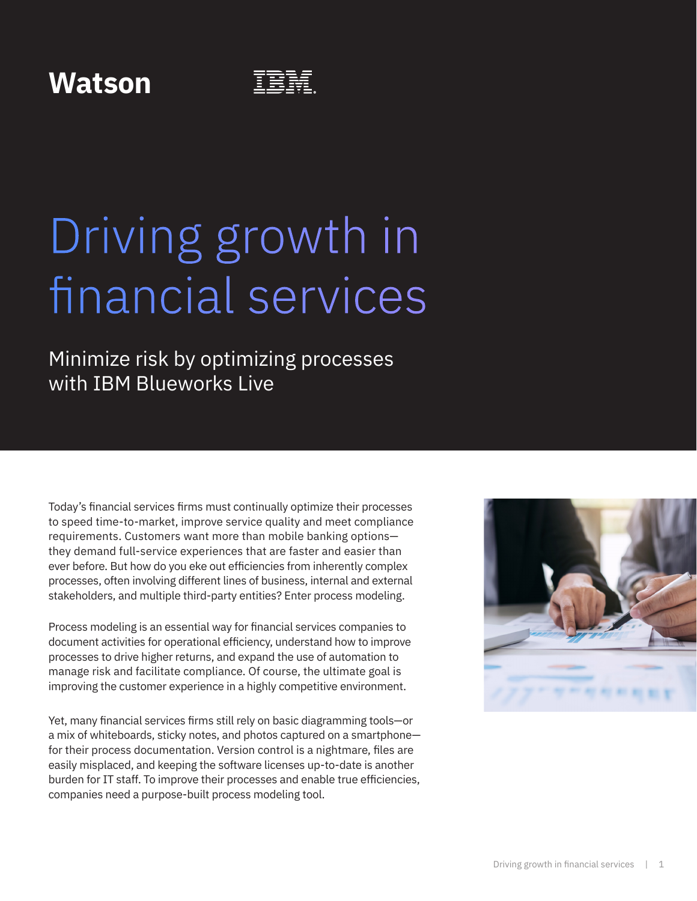### **Watson**

# Driving growth in financial services

Minimize risk by optimizing processes with IBM Blueworks Live

Today's financial services firms must continually optimize their processes to speed time-to-market, improve service quality and meet compliance requirements. Customers want more than mobile banking options they demand full-service experiences that are faster and easier than ever before. But how do you eke out efficiencies from inherently complex processes, often involving different lines of business, internal and external stakeholders, and multiple third-party entities? Enter process modeling.

Process modeling is an essential way for financial services companies to document activities for operational efficiency, understand how to improve processes to drive higher returns, and expand the use of automation to manage risk and facilitate compliance. Of course, the ultimate goal is improving the customer experience in a highly competitive environment.

Yet, many financial services firms still rely on basic diagramming tools—or a mix of whiteboards, sticky notes, and photos captured on a smartphone for their process documentation. Version control is a nightmare, files are easily misplaced, and keeping the software licenses up-to-date is another burden for IT staff. To improve their processes and enable true efficiencies, companies need a purpose-built process modeling tool.

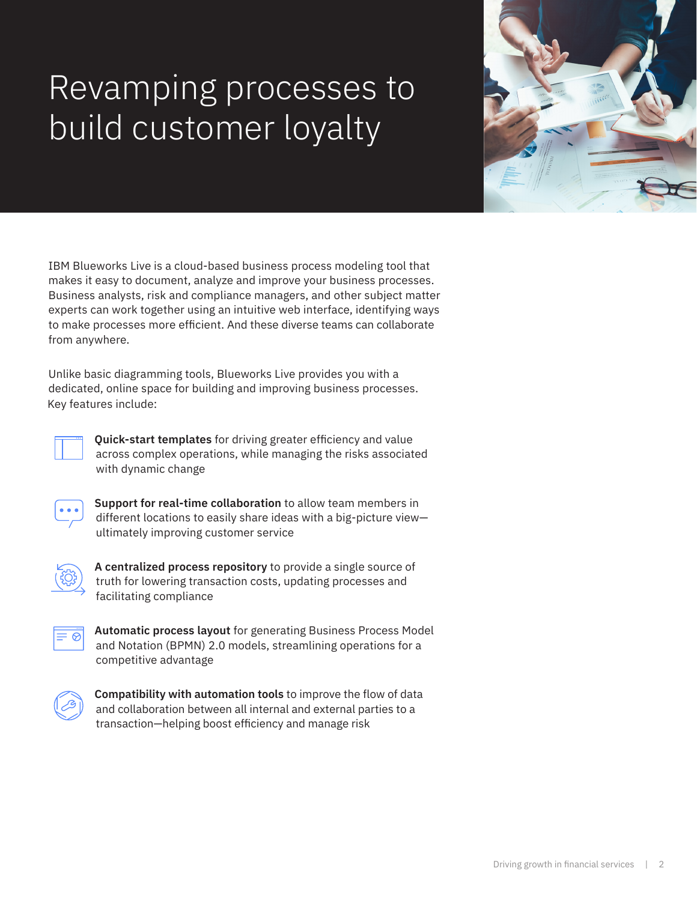## Revamping processes to build customer loyalty

IBM Blueworks Live is a cloud-based business process modeling tool that makes it easy to document, analyze and improve your business processes. Business analysts, risk and compliance managers, and other subject matter experts can work together using an intuitive web interface, identifying ways to make processes more efficient. And these diverse teams can collaborate from anywhere.

Unlike basic diagramming tools, Blueworks Live provides you with a dedicated, online space for building and improving business processes. Key features include:

**Quick-start templates** for driving greater efficiency and value across complex operations, while managing the risks associated with dynamic change

**Support for real-time collaboration** to allow team members in different locations to easily share ideas with a big-picture view ultimately improving customer service



**A centralized process repository** to provide a single source of truth for lowering transaction costs, updating processes and facilitating compliance

**Automatic process layout** for generating Business Process Model and Notation (BPMN) 2.0 models, streamlining operations for a competitive advantage



**Compatibility with automation tools** to improve the flow of data and collaboration between all internal and external parties to a transaction—helping boost efficiency and manage risk